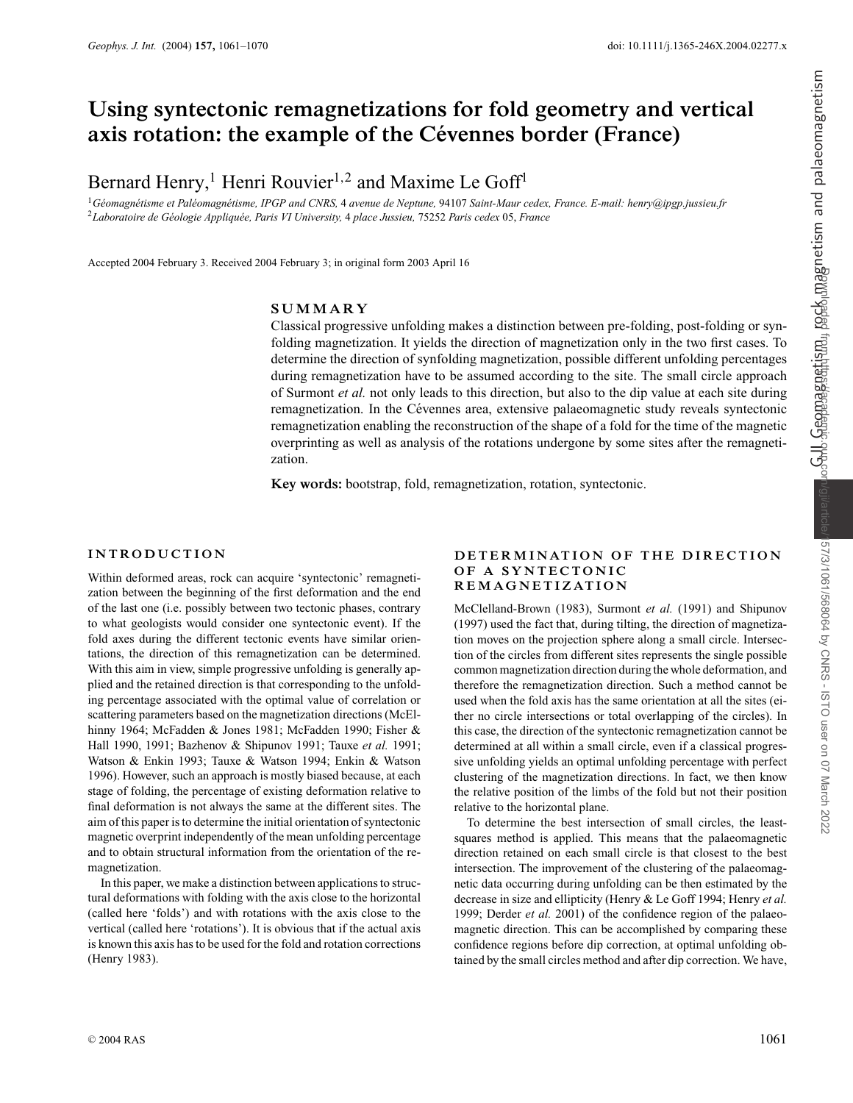# **Using syntectonic remagnetizations for fold geometry and vertical** axis rotation: the example of the Cévennes border (France)

Bernard Henry,<sup>1</sup> Henri Rouvier<sup>1,2</sup> and Maxime Le Goff<sup>1</sup>

<sup>1</sup>*G´eomagn´etisme et Pal´eomagn´etisme, IPGP and CNRS,* 4 *avenue de Neptune,* 94107 *Saint-Maur cedex, France. E-mail: henry@ipgp.jussieu.fr* <sup>2</sup>*Laboratoire de G´eologie Appliqu´ee, Paris VI University,* 4 *place Jussieu,* 75252 *Paris cedex* 05, *France*

Accepted 2004 February 3. Received 2004 February 3; in original form 2003 April 16

## **SUMMARY**

Classical progressive unfolding makes a distinction between pre-folding, post-folding or synfolding magnetization. It yields the direction of magnetization only in the two first cases. To determine the direction of synfolding magnetization, possible different unfolding percentages during remagnetization have to be assumed according to the site. The small circle approach of Surmont *et al.* not only leads to this direction, but also to the dip value at each site during remagnetization. In the Cévennes area, extensive palaeomagnetic study reveals syntectonic remagnetization enabling the reconstruction of the shape of a fold for the time of the magnetic overprinting as well as analysis of the rotations undergone by some sites after the remagnetization.

**Key words:** bootstrap, fold, remagnetization, rotation, syntectonic.

#### **INTRODUCTION**

Within deformed areas, rock can acquire 'syntectonic' remagnetization between the beginning of the first deformation and the end of the last one (i.e. possibly between two tectonic phases, contrary to what geologists would consider one syntectonic event). If the fold axes during the different tectonic events have similar orientations, the direction of this remagnetization can be determined. With this aim in view, simple progressive unfolding is generally applied and the retained direction is that corresponding to the unfolding percentage associated with the optimal value of correlation or scattering parameters based on the magnetization directions (McElhinny 1964; McFadden & Jones 1981; McFadden 1990; Fisher & Hall 1990, 1991; Bazhenov & Shipunov 1991; Tauxe *et al.* 1991; Watson & Enkin 1993; Tauxe & Watson 1994; Enkin & Watson 1996). However, such an approach is mostly biased because, at each stage of folding, the percentage of existing deformation relative to final deformation is not always the same at the different sites. The aim of this paper is to determine the initial orientation of syntectonic magnetic overprint independently of the mean unfolding percentage and to obtain structural information from the orientation of the remagnetization.

In this paper, we make a distinction between applications to structural deformations with folding with the axis close to the horizontal (called here 'folds') and with rotations with the axis close to the vertical (called here 'rotations'). It is obvious that if the actual axis is known this axis has to be used for the fold and rotation corrections (Henry 1983).

# **DETERMINATION OF THE DIRECTION OF A SYNTECTONIC REMAGNETIZATION**

McClelland-Brown (1983), Surmont *et al.* (1991) and Shipunov (1997) used the fact that, during tilting, the direction of magnetization moves on the projection sphere along a small circle. Intersection of the circles from different sites represents the single possible common magnetization direction during the whole deformation, and therefore the remagnetization direction. Such a method cannot be used when the fold axis has the same orientation at all the sites (either no circle intersections or total overlapping of the circles). In this case, the direction of the syntectonic remagnetization cannot be determined at all within a small circle, even if a classical progressive unfolding yields an optimal unfolding percentage with perfect clustering of the magnetization directions. In fact, we then know the relative position of the limbs of the fold but not their position relative to the horizontal plane.

To determine the best intersection of small circles, the leastsquares method is applied. This means that the palaeomagnetic direction retained on each small circle is that closest to the best intersection. The improvement of the clustering of the palaeomagnetic data occurring during unfolding can be then estimated by the decrease in size and ellipticity (Henry & Le Goff 1994; Henry *et al.* 1999; Derder *et al.* 2001) of the confidence region of the palaeomagnetic direction. This can be accomplished by comparing these confidence regions before dip correction, at optimal unfolding obtained by the small circles method and after dip correction. We have,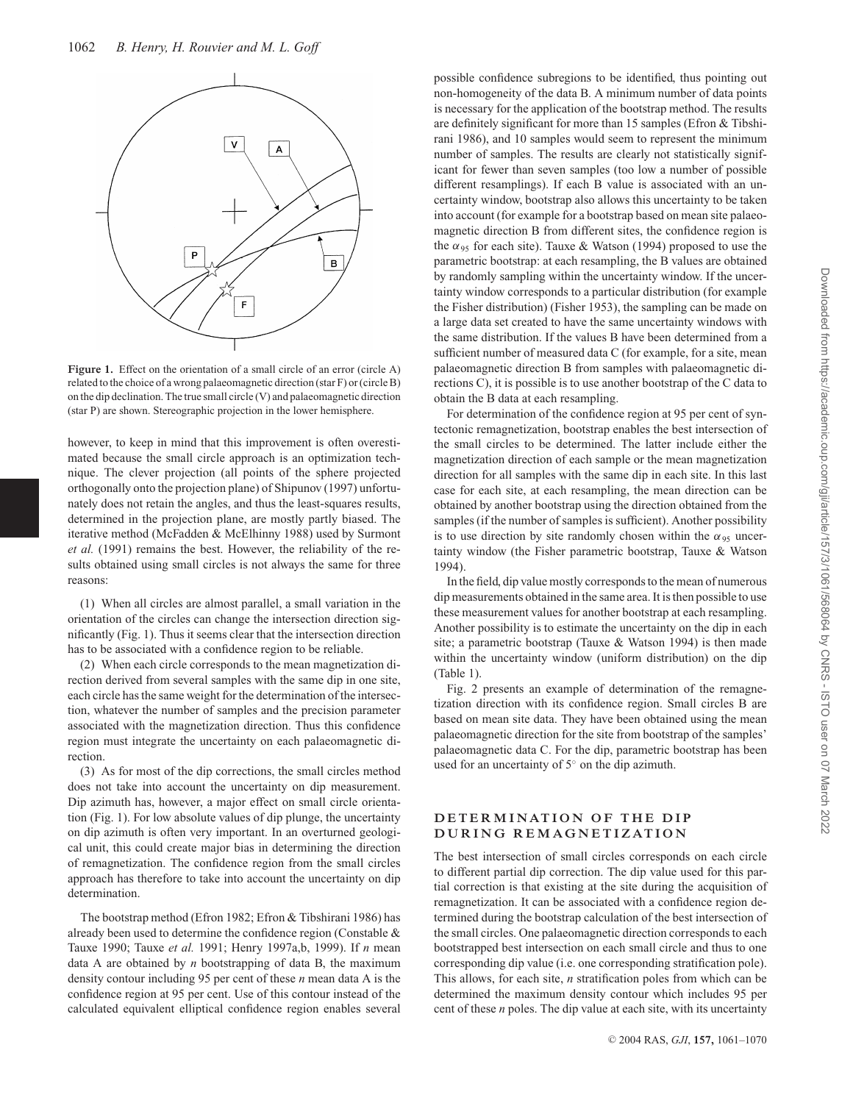

Figure 1. Effect on the orientation of a small circle of an error (circle A) related to the choice of a wrong palaeomagnetic direction (star F) or (circle B) on the dip declination. The true small circle (V) and palaeomagnetic direction (star P) are shown. Stereographic projection in the lower hemisphere.

however, to keep in mind that this improvement is often overestimated because the small circle approach is an optimization technique. The clever projection (all points of the sphere projected orthogonally onto the projection plane) of Shipunov (1997) unfortunately does not retain the angles, and thus the least-squares results, determined in the projection plane, are mostly partly biased. The iterative method (McFadden & McElhinny 1988) used by Surmont *et al.* (1991) remains the best. However, the reliability of the results obtained using small circles is not always the same for three reasons:

(1) When all circles are almost parallel, a small variation in the orientation of the circles can change the intersection direction significantly (Fig. 1). Thus it seems clear that the intersection direction has to be associated with a confidence region to be reliable.

(2) When each circle corresponds to the mean magnetization direction derived from several samples with the same dip in one site, each circle has the same weight for the determination of the intersection, whatever the number of samples and the precision parameter associated with the magnetization direction. Thus this confidence region must integrate the uncertainty on each palaeomagnetic direction.

(3) As for most of the dip corrections, the small circles method does not take into account the uncertainty on dip measurement. Dip azimuth has, however, a major effect on small circle orientation (Fig. 1). For low absolute values of dip plunge, the uncertainty on dip azimuth is often very important. In an overturned geological unit, this could create major bias in determining the direction of remagnetization. The confidence region from the small circles approach has therefore to take into account the uncertainty on dip determination.

The bootstrap method (Efron 1982; Efron & Tibshirani 1986) has already been used to determine the confidence region (Constable & Tauxe 1990; Tauxe *et al.* 1991; Henry 1997a,b, 1999). If *n* mean data A are obtained by *n* bootstrapping of data B, the maximum density contour including 95 per cent of these *n* mean data A is the confidence region at 95 per cent. Use of this contour instead of the calculated equivalent elliptical confidence region enables several possible confidence subregions to be identified, thus pointing out non-homogeneity of the data B. A minimum number of data points is necessary for the application of the bootstrap method. The results are definitely significant for more than 15 samples (Efron & Tibshirani 1986), and 10 samples would seem to represent the minimum number of samples. The results are clearly not statistically significant for fewer than seven samples (too low a number of possible different resamplings). If each B value is associated with an uncertainty window, bootstrap also allows this uncertainty to be taken into account (for example for a bootstrap based on mean site palaeomagnetic direction B from different sites, the confidence region is the  $\alpha_{95}$  for each site). Tauxe & Watson (1994) proposed to use the parametric bootstrap: at each resampling, the B values are obtained by randomly sampling within the uncertainty window. If the uncertainty window corresponds to a particular distribution (for example the Fisher distribution) (Fisher 1953), the sampling can be made on a large data set created to have the same uncertainty windows with the same distribution. If the values B have been determined from a sufficient number of measured data C (for example, for a site, mean palaeomagnetic direction B from samples with palaeomagnetic directions C), it is possible is to use another bootstrap of the C data to obtain the B data at each resampling.

For determination of the confidence region at 95 per cent of syntectonic remagnetization, bootstrap enables the best intersection of the small circles to be determined. The latter include either the magnetization direction of each sample or the mean magnetization direction for all samples with the same dip in each site. In this last case for each site, at each resampling, the mean direction can be obtained by another bootstrap using the direction obtained from the samples (if the number of samples is sufficient). Another possibility is to use direction by site randomly chosen within the  $\alpha_{95}$  uncertainty window (the Fisher parametric bootstrap, Tauxe & Watson 1994).

In the field, dip value mostly corresponds to the mean of numerous dip measurements obtained in the same area. It is then possible to use these measurement values for another bootstrap at each resampling. Another possibility is to estimate the uncertainty on the dip in each site; a parametric bootstrap (Tauxe & Watson 1994) is then made within the uncertainty window (uniform distribution) on the dip (Table 1).

Fig. 2 presents an example of determination of the remagnetization direction with its confidence region. Small circles B are based on mean site data. They have been obtained using the mean palaeomagnetic direction for the site from bootstrap of the samples' palaeomagnetic data C. For the dip, parametric bootstrap has been used for an uncertainty of 5◦ on the dip azimuth.

# **DETERMINATION OF THE DIP DURING REMAGNETIZATION**

The best intersection of small circles corresponds on each circle to different partial dip correction. The dip value used for this partial correction is that existing at the site during the acquisition of remagnetization. It can be associated with a confidence region determined during the bootstrap calculation of the best intersection of the small circles. One palaeomagnetic direction corresponds to each bootstrapped best intersection on each small circle and thus to one corresponding dip value (i.e. one corresponding stratification pole). This allows, for each site, *n* stratification poles from which can be determined the maximum density contour which includes 95 per cent of these *n* poles. The dip value at each site, with its uncertainty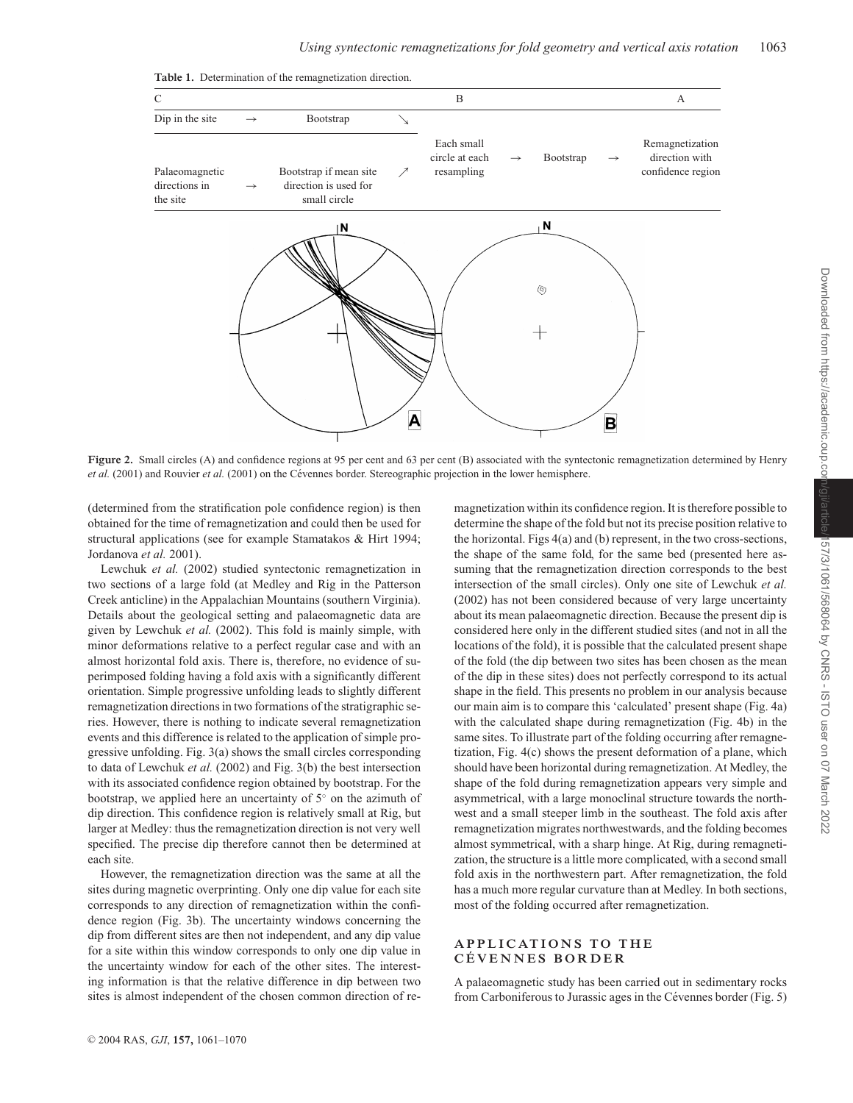

Figure 2. Small circles (A) and confidence regions at 95 per cent and 63 per cent (B) associated with the syntectonic remagnetization determined by Henry *et al.* (2001) and Rouvier *et al.* (2001) on the Cévennes border. Stereographic projection in the lower hemisphere.

(determined from the stratification pole confidence region) is then obtained for the time of remagnetization and could then be used for structural applications (see for example Stamatakos & Hirt 1994; Jordanova *et al.* 2001).

Lewchuk *et al.* (2002) studied syntectonic remagnetization in two sections of a large fold (at Medley and Rig in the Patterson Creek anticline) in the Appalachian Mountains (southern Virginia). Details about the geological setting and palaeomagnetic data are given by Lewchuk *et al.* (2002). This fold is mainly simple, with minor deformations relative to a perfect regular case and with an almost horizontal fold axis. There is, therefore, no evidence of superimposed folding having a fold axis with a significantly different orientation. Simple progressive unfolding leads to slightly different remagnetization directions in two formations of the stratigraphic series. However, there is nothing to indicate several remagnetization events and this difference is related to the application of simple progressive unfolding. Fig. 3(a) shows the small circles corresponding to data of Lewchuk *et al.* (2002) and Fig. 3(b) the best intersection with its associated confidence region obtained by bootstrap. For the bootstrap, we applied here an uncertainty of 5◦ on the azimuth of dip direction. This confidence region is relatively small at Rig, but larger at Medley: thus the remagnetization direction is not very well specified. The precise dip therefore cannot then be determined at each site.

However, the remagnetization direction was the same at all the sites during magnetic overprinting. Only one dip value for each site corresponds to any direction of remagnetization within the confidence region (Fig. 3b). The uncertainty windows concerning the dip from different sites are then not independent, and any dip value for a site within this window corresponds to only one dip value in the uncertainty window for each of the other sites. The interesting information is that the relative difference in dip between two sites is almost independent of the chosen common direction of remagnetization within its confidence region. It is therefore possible to determine the shape of the fold but not its precise position relative to the horizontal. Figs 4(a) and (b) represent, in the two cross-sections, the shape of the same fold, for the same bed (presented here assuming that the remagnetization direction corresponds to the best intersection of the small circles). Only one site of Lewchuk *et al.* (2002) has not been considered because of very large uncertainty about its mean palaeomagnetic direction. Because the present dip is considered here only in the different studied sites (and not in all the locations of the fold), it is possible that the calculated present shape of the fold (the dip between two sites has been chosen as the mean of the dip in these sites) does not perfectly correspond to its actual shape in the field. This presents no problem in our analysis because our main aim is to compare this 'calculated' present shape (Fig. 4a) with the calculated shape during remagnetization (Fig. 4b) in the same sites. To illustrate part of the folding occurring after remagnetization, Fig. 4(c) shows the present deformation of a plane, which should have been horizontal during remagnetization. At Medley, the shape of the fold during remagnetization appears very simple and asymmetrical, with a large monoclinal structure towards the northwest and a small steeper limb in the southeast. The fold axis after remagnetization migrates northwestwards, and the folding becomes almost symmetrical, with a sharp hinge. At Rig, during remagnetization, the structure is a little more complicated, with a second small fold axis in the northwestern part. After remagnetization, the fold has a much more regular curvature than at Medley. In both sections, most of the folding occurred after remagnetization.

#### **APPLICATIONS TO THE C EVENNES BORDER ´**

A palaeomagnetic study has been carried out in sedimentary rocks from Carboniferous to Jurassic ages in the Cévennes border (Fig. 5)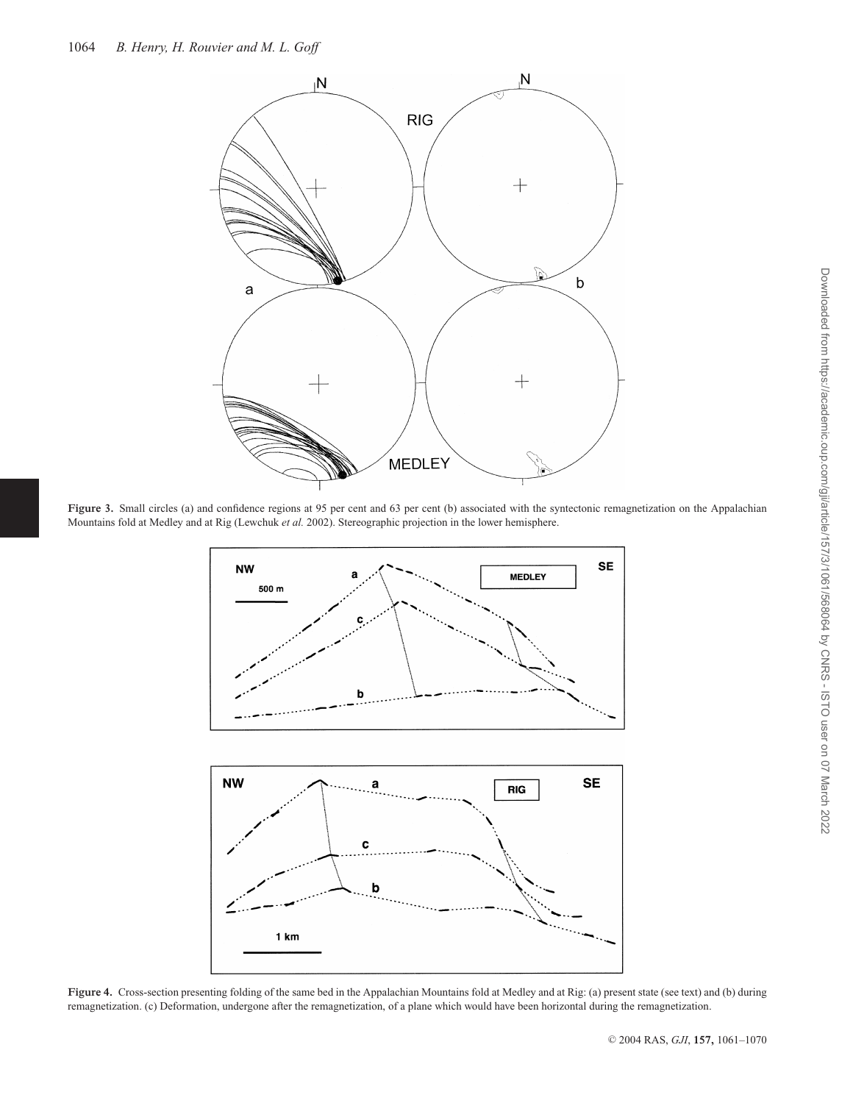

Figure 3. Small circles (a) and confidence regions at 95 per cent and 63 per cent (b) associated with the syntectonic remagnetization on the Appalachian Mountains fold at Medley and at Rig (Lewchuk *et al.* 2002). Stereographic projection in the lower hemisphere.



**Figure 4.** Cross-section presenting folding of the same bed in the Appalachian Mountains fold at Medley and at Rig: (a) present state (see text) and (b) during remagnetization. (c) Deformation, undergone after the remagnetization, of a plane which would have been horizontal during the remagnetization.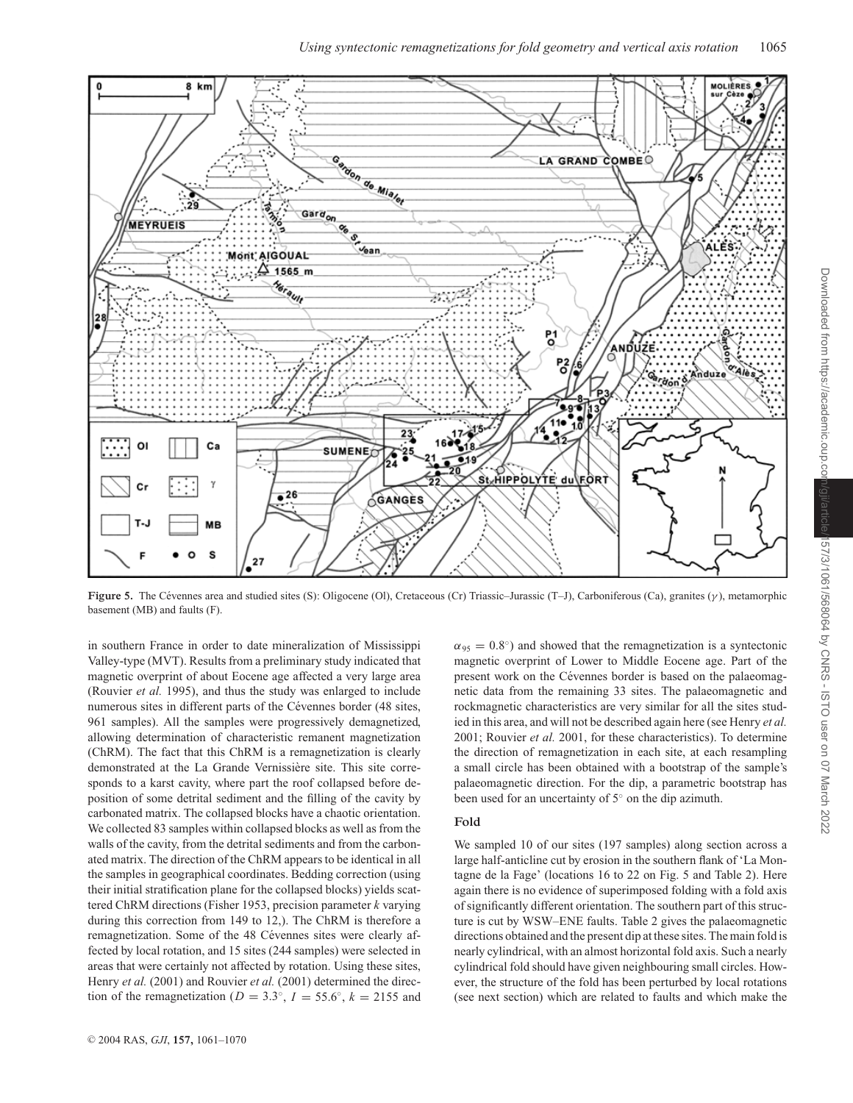

**Figure 5.** The Cévennes area and studied sites (S): Oligocene (Ol), Cretaceous (Cr) Triassic–Jurassic (T–J), Carboniferous (Ca), granites (γ), metamorphic basement (MB) and faults (F).

in southern France in order to date mineralization of Mississippi Valley-type (MVT). Results from a preliminary study indicated that magnetic overprint of about Eocene age affected a very large area (Rouvier *et al.* 1995), and thus the study was enlarged to include numerous sites in different parts of the Cévennes border (48 sites, 961 samples). All the samples were progressively demagnetized, allowing determination of characteristic remanent magnetization (ChRM). The fact that this ChRM is a remagnetization is clearly demonstrated at the La Grande Vernissière site. This site corresponds to a karst cavity, where part the roof collapsed before deposition of some detrital sediment and the filling of the cavity by carbonated matrix. The collapsed blocks have a chaotic orientation. We collected 83 samples within collapsed blocks as well as from the walls of the cavity, from the detrital sediments and from the carbonated matrix. The direction of the ChRM appears to be identical in all the samples in geographical coordinates. Bedding correction (using their initial stratification plane for the collapsed blocks) yields scattered ChRM directions (Fisher 1953, precision parameter *k* varying during this correction from 149 to 12,). The ChRM is therefore a remagnetization. Some of the 48 Cévennes sites were clearly affected by local rotation, and 15 sites (244 samples) were selected in areas that were certainly not affected by rotation. Using these sites, Henry *et al.* (2001) and Rouvier *et al.* (2001) determined the direction of the remagnetization ( $D = 3.3^\circ$ ,  $I = 55.6^\circ$ ,  $k = 2155$  and  $\alpha_{95} = 0.8^{\circ}$ ) and showed that the remagnetization is a syntectonic magnetic overprint of Lower to Middle Eocene age. Part of the present work on the Cévennes border is based on the palaeomagnetic data from the remaining 33 sites. The palaeomagnetic and rockmagnetic characteristics are very similar for all the sites studied in this area, and will not be described again here (see Henry *et al.* 2001; Rouvier *et al.* 2001, for these characteristics). To determine the direction of remagnetization in each site, at each resampling a small circle has been obtained with a bootstrap of the sample's palaeomagnetic direction. For the dip, a parametric bootstrap has been used for an uncertainty of 5◦ on the dip azimuth.

#### **Fold**

We sampled 10 of our sites (197 samples) along section across a large half-anticline cut by erosion in the southern flank of 'La Montagne de la Fage' (locations 16 to 22 on Fig. 5 and Table 2). Here again there is no evidence of superimposed folding with a fold axis of significantly different orientation. The southern part of this structure is cut by WSW–ENE faults. Table 2 gives the palaeomagnetic directions obtained and the present dip at these sites. The main fold is nearly cylindrical, with an almost horizontal fold axis. Such a nearly cylindrical fold should have given neighbouring small circles. However, the structure of the fold has been perturbed by local rotations (see next section) which are related to faults and which make the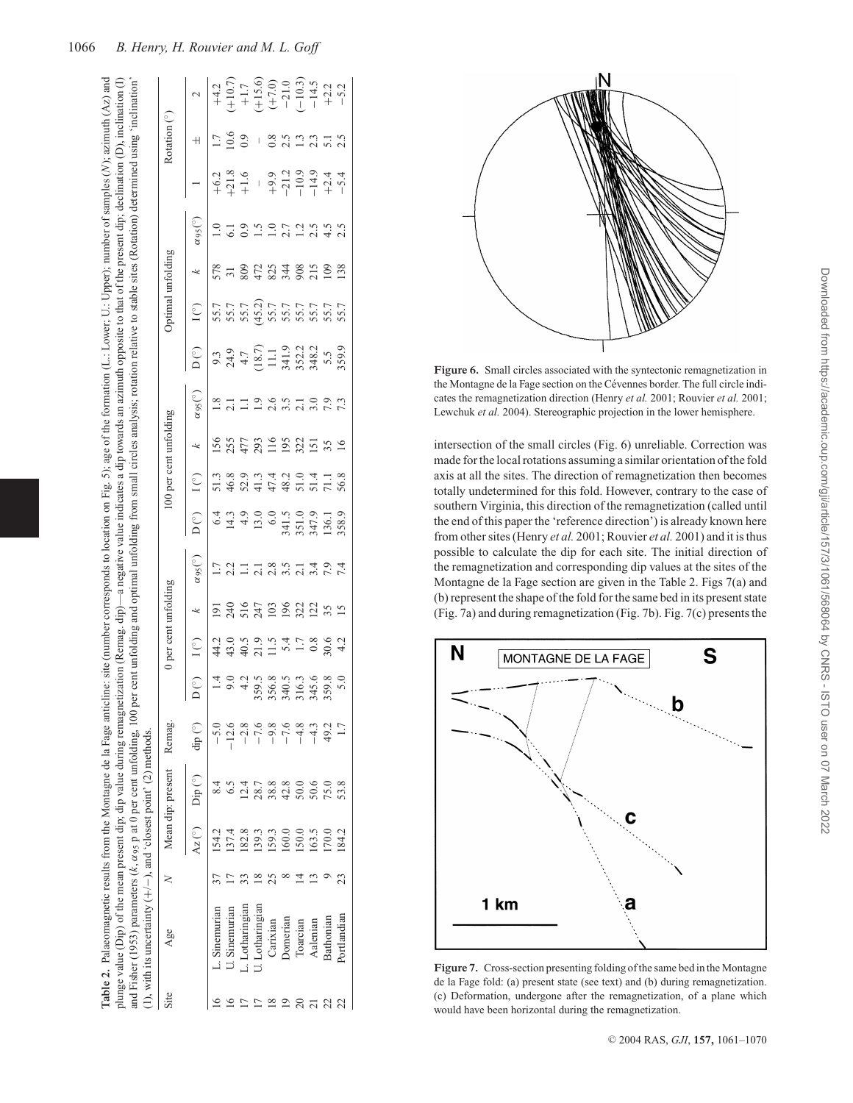| $\bigcirc$<br>$\alpha_{95} (^\circ)$<br>1.9697000000<br>100 per cent unfolding<br>$\frac{17}{4}$<br>$\frac{28}{4}$ $\frac{69}{4}$ $\frac{69}{4}$ $\frac{28}{4}$ $\frac{29}{4}$ $\frac{29}{4}$ $\frac{29}{4}$ $\frac{29}{4}$ $\frac{29}{4}$ $\frac{29}{4}$ $\frac{29}{4}$ $\frac{29}{4}$ $\frac{29}{4}$ $\frac{29}{4}$ $\frac{29}{4}$ $\frac{29}{4}$ $\frac{29}{4}$ $\frac{29}{4}$ $\frac{29}{4}$<br>$\frac{56}{5}$<br>255<br>$\overline{16}$<br>Ł<br>$\binom{6}{1}$<br>$64$<br>$143$<br>$130$<br>$150$<br>$150$<br>$150$<br>$150$<br>$150$<br>$150$<br>$150$<br>$150$<br>$150$<br>$\sum_{i=1}^{n}$<br>$\alpha_{95} (^{\circ})$<br>$21 - 28 - 14$<br>$21 - 28 - 14$<br>$21 - 24$<br>$21 - 24$<br>$21 - 24$<br>$21 - 24$<br>0 per cent unfolding<br>555222225<br>240<br>5<br>k<br>4 \$ \$ \$ \$ \$ \$ \$ \$ \$<br>4 \$ \$ \$ \$ \$ \$ \$ \$ \$<br>$30.6$<br>4.2<br>$\frac{1}{2}$<br>$\sum_{i=1}^{\infty}$<br>359.<br>356.<br>340.<br>316.<br>345.<br>359<br>$\mathrm{dip}\,(^\circ)$<br>Remag.<br>$-5.0$<br>$-12.6$<br>$-2.8$<br>$-7.6$<br>$-9.8$<br>$-7.6$<br>$-4.8$<br>49.2<br>$-4.3$<br>Mean dip: present<br>$\operatorname{Dip} \left( ^{\circ}\right)$<br>42.8<br>53.8<br>28.7<br>38.8<br>50.0<br>50.6<br>75.0<br>12.4<br>$Az(^{\circ})$<br>154.2<br>137.4<br>82.8<br>139.3<br>184.2<br>159.3<br>163.5<br>150.0<br>0.001<br>170.0<br>23<br>$\geq$<br>L. Lotharingian<br>U. Lotharingian<br>L. Sinemurian<br>U. Sinemurian<br>Portlandian<br>Bathonian<br>Domerian<br>Aalenian<br>Carixian<br>Toarcian<br>Age<br>Site<br>$\frac{6}{2}$<br>16<br>$\overline{17}$<br>$\overline{17}$<br>18<br>$\overline{19}$<br>$\overline{c}$<br>22<br>22<br>$\overline{c}$ | (1), with its uncertainty $(+/-)$ , and 'closest point' (2) methods. |  |  |  |  |  |  |  |                                        |              |                      |                                                                                                   |                         |                                                                                                             |
|---------------------------------------------------------------------------------------------------------------------------------------------------------------------------------------------------------------------------------------------------------------------------------------------------------------------------------------------------------------------------------------------------------------------------------------------------------------------------------------------------------------------------------------------------------------------------------------------------------------------------------------------------------------------------------------------------------------------------------------------------------------------------------------------------------------------------------------------------------------------------------------------------------------------------------------------------------------------------------------------------------------------------------------------------------------------------------------------------------------------------------------------------------------------------------------------------------------------------------------------------------------------------------------------------------------------------------------------------------------------------------------------------------------------------------------------------------------------------------------------------------------------------------------------------------------------------------------------------------------------------------------------------------------|----------------------------------------------------------------------|--|--|--|--|--|--|--|----------------------------------------|--------------|----------------------|---------------------------------------------------------------------------------------------------|-------------------------|-------------------------------------------------------------------------------------------------------------|
|                                                                                                                                                                                                                                                                                                                                                                                                                                                                                                                                                                                                                                                                                                                                                                                                                                                                                                                                                                                                                                                                                                                                                                                                                                                                                                                                                                                                                                                                                                                                                                                                                                                               |                                                                      |  |  |  |  |  |  |  | Optimal unfolding                      |              |                      |                                                                                                   | Rotation <sup>(°)</sup> |                                                                                                             |
|                                                                                                                                                                                                                                                                                                                                                                                                                                                                                                                                                                                                                                                                                                                                                                                                                                                                                                                                                                                                                                                                                                                                                                                                                                                                                                                                                                                                                                                                                                                                                                                                                                                               |                                                                      |  |  |  |  |  |  |  | $\begin{pmatrix} 0 \\ 1 \end{pmatrix}$ | ×            | $\alpha$ 95 $^\circ$ |                                                                                                   | $\overline{+}$          |                                                                                                             |
|                                                                                                                                                                                                                                                                                                                                                                                                                                                                                                                                                                                                                                                                                                                                                                                                                                                                                                                                                                                                                                                                                                                                                                                                                                                                                                                                                                                                                                                                                                                                                                                                                                                               |                                                                      |  |  |  |  |  |  |  |                                        |              |                      |                                                                                                   |                         |                                                                                                             |
|                                                                                                                                                                                                                                                                                                                                                                                                                                                                                                                                                                                                                                                                                                                                                                                                                                                                                                                                                                                                                                                                                                                                                                                                                                                                                                                                                                                                                                                                                                                                                                                                                                                               |                                                                      |  |  |  |  |  |  |  |                                        |              |                      |                                                                                                   |                         |                                                                                                             |
|                                                                                                                                                                                                                                                                                                                                                                                                                                                                                                                                                                                                                                                                                                                                                                                                                                                                                                                                                                                                                                                                                                                                                                                                                                                                                                                                                                                                                                                                                                                                                                                                                                                               |                                                                      |  |  |  |  |  |  |  |                                        |              |                      |                                                                                                   | 0.9                     |                                                                                                             |
|                                                                                                                                                                                                                                                                                                                                                                                                                                                                                                                                                                                                                                                                                                                                                                                                                                                                                                                                                                                                                                                                                                                                                                                                                                                                                                                                                                                                                                                                                                                                                                                                                                                               |                                                                      |  |  |  |  |  |  |  |                                        |              | $\tilde{c}$          |                                                                                                   |                         |                                                                                                             |
|                                                                                                                                                                                                                                                                                                                                                                                                                                                                                                                                                                                                                                                                                                                                                                                                                                                                                                                                                                                                                                                                                                                                                                                                                                                                                                                                                                                                                                                                                                                                                                                                                                                               |                                                                      |  |  |  |  |  |  |  |                                        |              | $\overline{1.0}$     |                                                                                                   |                         |                                                                                                             |
|                                                                                                                                                                                                                                                                                                                                                                                                                                                                                                                                                                                                                                                                                                                                                                                                                                                                                                                                                                                                                                                                                                                                                                                                                                                                                                                                                                                                                                                                                                                                                                                                                                                               |                                                                      |  |  |  |  |  |  |  |                                        |              |                      |                                                                                                   |                         |                                                                                                             |
|                                                                                                                                                                                                                                                                                                                                                                                                                                                                                                                                                                                                                                                                                                                                                                                                                                                                                                                                                                                                                                                                                                                                                                                                                                                                                                                                                                                                                                                                                                                                                                                                                                                               |                                                                      |  |  |  |  |  |  |  |                                        | 57.587878222 |                      | $+6.2$<br>$+21.8$<br>$+1.6$<br>$+9.2$<br>$-1.2$<br>$-1.2$<br>$-1.2$<br>$-1.4$<br>$-1.5$<br>$-1.5$ | 23.375.5                | $+4.2$<br>$+10.7$<br>$+1.7$<br>$+1.5$ .0<br>$+1.7$<br>$+1.5$ .0<br>$-21.0$<br>$-14.2$<br>$-14.2$<br>$-12.2$ |
|                                                                                                                                                                                                                                                                                                                                                                                                                                                                                                                                                                                                                                                                                                                                                                                                                                                                                                                                                                                                                                                                                                                                                                                                                                                                                                                                                                                                                                                                                                                                                                                                                                                               |                                                                      |  |  |  |  |  |  |  |                                        |              |                      |                                                                                                   |                         |                                                                                                             |
|                                                                                                                                                                                                                                                                                                                                                                                                                                                                                                                                                                                                                                                                                                                                                                                                                                                                                                                                                                                                                                                                                                                                                                                                                                                                                                                                                                                                                                                                                                                                                                                                                                                               |                                                                      |  |  |  |  |  |  |  |                                        |              |                      |                                                                                                   |                         |                                                                                                             |
|                                                                                                                                                                                                                                                                                                                                                                                                                                                                                                                                                                                                                                                                                                                                                                                                                                                                                                                                                                                                                                                                                                                                                                                                                                                                                                                                                                                                                                                                                                                                                                                                                                                               |                                                                      |  |  |  |  |  |  |  |                                        |              |                      |                                                                                                   |                         |                                                                                                             |



**Figure 6.** Small circles associated with the syntectonic remagnetization in the Montagne de la Fage section on the Cévennes border. The full circle indicates the remagnetization direction (Henry *et al.* 2001; Rouvier *et al.* 2001; Lewchuk *et al.* 2004). Stereographic projection in the lower hemisphere.

intersection of the small circles (Fig. 6) unreliable. Correction was made for the local rotations assuming a similar orientation of the fold axis at all the sites. The direction of remagnetization then becomes totally undetermined for this fold. However, contrary to the case of southern Virginia, this direction of the remagnetization (called until the end of this paper the 'reference direction ') is already known here from other sites (Henry *et al.* 2001; Rouvier *et al.* 2001) and it is thus possible to calculate the dip for each site. The initial direction of the remagnetization and corresponding dip values at the sites of the Montagne de la Fage section are given in the Table 2. Figs 7(a) and (b) represent the shape of the fold for the same bed in its present state (Fig. 7a) and during remagnetization (Fig. 7b). Fig. 7(c) presents the



**Figure 7.** Cross-section presenting folding of the same bed in the Montagne de la Fage fold: (a) present state (see text) and (b) during remagnetization. (c) Deformation, undergone after the remagnetization, of a plane which would have been horizontal during the remagnetization.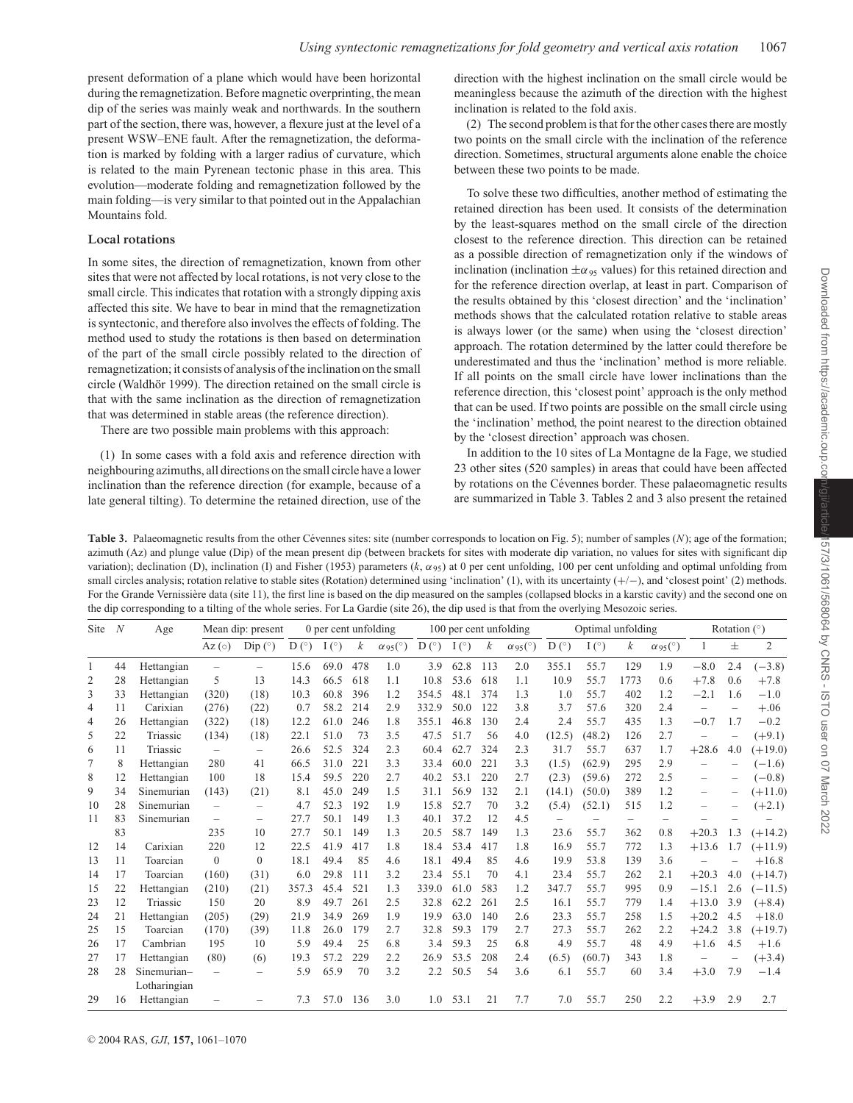present deformation of a plane which would have been horizontal during the remagnetization. Before magnetic overprinting, the mean dip of the series was mainly weak and northwards. In the southern part of the section, there was, however, a flexure just at the level of a present WSW–ENE fault. After the remagnetization, the deformation is marked by folding with a larger radius of curvature, which is related to the main Pyrenean tectonic phase in this area. This evolution—moderate folding and remagnetization followed by the main folding—is very similar to that pointed out in the Appalachian Mountains fold.

## **Local rotations**

In some sites, the direction of remagnetization, known from other sites that were not affected by local rotations, is not very close to the small circle. This indicates that rotation with a strongly dipping axis affected this site. We have to bear in mind that the remagnetization is syntectonic, and therefore also involves the effects of folding. The method used to study the rotations is then based on determination of the part of the small circle possibly related to the direction of remagnetization; it consists of analysis of the inclination on the small circle (Waldhör 1999). The direction retained on the small circle is that with the same inclination as the direction of remagnetization that was determined in stable areas (the reference direction).

There are two possible main problems with this approach:

(1) In some cases with a fold axis and reference direction with neighbouring azimuths, all directions on the small circle have a lower inclination than the reference direction (for example, because of a late general tilting). To determine the retained direction, use of the

direction with the highest inclination on the small circle would be meaningless because the azimuth of the direction with the highest inclination is related to the fold axis.

(2) The second problem is that for the other cases there are mostly two points on the small circle with the inclination of the reference direction. Sometimes, structural arguments alone enable the choice between these two points to be made.

To solve these two difficulties, another method of estimating the retained direction has been used. It consists of the determination by the least-squares method on the small circle of the direction closest to the reference direction. This direction can be retained as a possible direction of remagnetization only if the windows of inclination (inclination  $\pm \alpha_{95}$  values) for this retained direction and for the reference direction overlap, at least in part. Comparison of the results obtained by this 'closest direction' and the 'inclination' methods shows that the calculated rotation relative to stable areas is always lower (or the same) when using the 'closest direction' approach. The rotation determined by the latter could therefore be underestimated and thus the 'inclination' method is more reliable. If all points on the small circle have lower inclinations than the reference direction, this 'closest point' approach is the only method that can be used. If two points are possible on the small circle using the 'inclination' method, the point nearest to the direction obtained by the 'closest direction' approach was chosen.

In addition to the 10 sites of La Montagne de la Fage, we studied 23 other sites (520 samples) in areas that could have been affected by rotations on the Cévennes border. These palaeomagnetic results are summarized in Table 3. Tables 2 and 3 also present the retained

Table 3. Palaeomagnetic results from the other Cévennes sites: site (number corresponds to location on Fig. 5); number of samples (*N*); age of the formation; azimuth (Az) and plunge value (Dip) of the mean present dip (between brackets for sites with moderate dip variation, no values for sites with significant dip variation); declination (D), inclination (I) and Fisher (1953) parameters (*k*, α95) at 0 per cent unfolding, 100 per cent unfolding and optimal unfolding from small circles analysis; rotation relative to stable sites (Rotation) determined using 'inclination' (1), with its uncertainty (+/−), and 'closest point' (2) methods. For the Grande Vernissière data (site 11), the first line is based on the dip measured on the samples (collapsed blocks in a karstic cavity) and the second one on the dip corresponding to a tilting of the whole series. For La Gardie (site 26), the dip used is that from the overlying Mesozoic series.

| Site           | N  | Age          | Mean dip: present        |                          |       | 0 per cent unfolding |     |                |                |             |                  | 100 per cent unfolding   |                          | Optimal unfolding |      |                |                   | Rotation $(°)$ |           |
|----------------|----|--------------|--------------------------|--------------------------|-------|----------------------|-----|----------------|----------------|-------------|------------------|--------------------------|--------------------------|-------------------|------|----------------|-------------------|----------------|-----------|
|                |    |              | Az(0)                    | Dip $(°)$                | D(°)  | I(°)                 | k   | $\alpha$ 95(°) | D <sup>o</sup> | $I(^\circ)$ | $\boldsymbol{k}$ | $\alpha$ 95( $\degree$ ) | D <sup>o</sup>           | $I(^\circ)$       | k    | $\alpha$ 95(°) |                   | 士              | 2         |
| 1              | 44 | Hettangian   |                          | $\overline{\phantom{a}}$ | 15.6  | 69.0                 | 478 | 1.0            | 3.9            | 62.8        | 113              | 2.0                      | 355.1                    | 55.7              | 129  | 1.9            | $-8.0$            | 2.4            | $(-3.8)$  |
| 2              | 28 | Hettangian   | 5                        | 13                       | 14.3  | 66.5                 | 618 | 1.1            | 10.8           | 53.6        | 618              | 1.1                      | 10.9                     | 55.7              | 1773 | 0.6            | $+7.8$            | 0.6            | $+7.8$    |
| 3              | 33 | Hettangian   | (320)                    | (18)                     | 10.3  | 60.8                 | 396 | 1.2            | 354.5          | 48.1        | 374              | 1.3                      | 1.0                      | 55.7              | 402  | 1.2            | $-2.1$            | 1.6            | $-1.0$    |
| $\overline{4}$ | 11 | Carixian     | (276)                    | (22)                     | 0.7   | 58.2                 | 214 | 2.9            | 332.9          | 50.0        | 122              | 3.8                      | 3.7                      | 57.6              | 320  | 2.4            |                   |                | $+.06$    |
| 4              | 26 | Hettangian   | (322)                    | (18)                     | 12.2  | 61.0                 | 246 | 1.8            | 355.1          | 46.8        | 130              | 2.4                      | 2.4                      | 55.7              | 435  | 1.3            | $-0.7$            | 1.7            | $-0.2$    |
| 5              | 22 | Triassic     | (134)                    | (18)                     | 22.1  | 51.0                 | 73  | 3.5            | 47.5           | 51.7        | 56               | 4.0                      | (12.5)                   | (48.2)            | 126  | 2.7            |                   |                | $(+9.1)$  |
| 6              | 11 | Triassic     | $\overline{\phantom{a}}$ |                          | 26.6  | 52.5                 | 324 | 2.3            | 60.4           | 62.7        | 324              | 2.3                      | 31.7                     | 55.7              | 637  | 1.7            | $+28.6$           | 4.0            | $(+19.0)$ |
|                | 8  | Hettangian   | 280                      | 41                       | 66.5  | 31.0                 | 221 | 3.3            | 33.4           | 60.0        | 221              | 3.3                      | (1.5)                    | (62.9)            | 295  | 2.9            |                   |                | $(-1.6)$  |
| 8              | 12 | Hettangian   | 100                      | 18                       | 15.4  | 59.5                 | 220 | 2.7            | 40.2           | 53.1        | 220              | 2.7                      | (2.3)                    | (59.6)            | 272  | 2.5            |                   |                | $(-0.8)$  |
| 9              | 34 | Sinemurian   | (143)                    | (21)                     | 8.1   | 45.0                 | 249 | 1.5            | 31.1           | 56.9        | 132              | 2.1                      | (14.1)                   | (50.0)            | 389  | 1.2            | -                 |                | $(+11.0)$ |
| 10             | 28 | Sinemurian   | -                        | -                        | 4.7   | 52.3                 | 192 | 1.9            | 15.8           | 52.7        | 70               | 3.2                      | (5.4)                    | (52.1)            | 515  | 1.2            |                   |                | $(+2.1)$  |
| 11             | 83 | Sinemurian   | $\overline{\phantom{a}}$ | -                        | 27.7  | 50.1                 | 149 | 1.3            | 40.1           | 37.2        | 12               | 4.5                      | $\overline{\phantom{0}}$ | $\qquad \qquad -$ |      |                |                   |                |           |
|                | 83 |              | 235                      | 10                       | 27.7  | 50.1                 | 149 | 1.3            | 20.5           | 58.7        | 149              | 1.3                      | 23.6                     | 55.7              | 362  | 0.8            | $+20.3$           | 1.3            | $(+14.2)$ |
| 12             | 14 | Carixian     | 220                      | 12                       | 22.5  | 41.9                 | 417 | 1.8            | 18.4           | 53.4        | 417              | 1.8                      | 16.9                     | 55.7              | 772  | 1.3            | $+13.6$           | 1.7            | $(+11.9)$ |
| 13             | 11 | Toarcian     | $\mathbf{0}$             | $\mathbf{0}$             | 18.1  | 49.4                 | 85  | 4.6            | 18.1           | 49.4        | 85               | 4.6                      | 19.9                     | 53.8              | 139  | 3.6            |                   | -              | $+16.8$   |
| 14             | 17 | Toarcian     | (160)                    | (31)                     | 6.0   | 29.8                 | 111 | 3.2            | 23.4           | 55.1        | 70               | 4.1                      | 23.4                     | 55.7              | 262  | 2.1            | $+20.3$           | 4.0            | $(+14.7)$ |
| 15             | 22 | Hettangian   | (210)                    | (21)                     | 357.3 | 45.4                 | 521 | 1.3            | 339.0          | 61.0        | 583              | 1.2                      | 347.7                    | 55.7              | 995  | 0.9            | $-15.1$           | 2.6            | $(-11.5)$ |
| 23             | 12 | Triassic     | 150                      | 20                       | 8.9   | 49.7                 | 261 | 2.5            | 32.8           | 62.2        | 261              | 2.5                      | 16.1                     | 55.7              | 779  | 1.4            | $+13.0$           | 3.9            | $(+8.4)$  |
| 24             | 21 | Hettangian   | (205)                    | (29)                     | 21.9  | 34.9                 | 269 | 1.9            | 19.9           | 63.0        | 140              | 2.6                      | 23.3                     | 55.7              | 258  | 1.5            | $+20.2$           | 4.5            | $+18.0$   |
| 25             | 15 | Toarcian     | (170)                    | (39)                     | 11.8  | 26.0                 | 179 | 2.7            | 32.8           | 59.3        | 179              | 2.7                      | 27.3                     | 55.7              | 262  | 2.2            | $+24.2$           | 3.8            | $(+19.7)$ |
| 26             | 17 | Cambrian     | 195                      | 10                       | 5.9   | 49.4                 | 25  | 6.8            | 3.4            | 59.3        | 25               | 6.8                      | 4.9                      | 55.7              | 48   | 4.9            | $+1.6$            | 4.5            | $+1.6$    |
| 27             | 17 | Hettangian   | (80)                     | (6)                      | 19.3  | 57.2                 | 229 | 2.2            | 26.9           | 53.5        | 208              | 2.4                      | (6.5)                    | (60.7)            | 343  | 1.8            | $\qquad \qquad -$ |                | $(+3.4)$  |
| 28             | 28 | Sinemurian-  |                          |                          | 5.9   | 65.9                 | 70  | 3.2            | 2.2            | 50.5        | 54               | 3.6                      | 6.1                      | 55.7              | 60   | 3.4            | $+3.0$            | 7.9            | $-1.4$    |
|                |    | Lotharingian |                          |                          |       |                      |     |                |                |             |                  |                          |                          |                   |      |                |                   |                |           |
| 29             | 16 | Hettangian   |                          |                          | 7.3   | 57.0                 | 136 | 3.0            | 1.0            | 53.1        | 21               | 7.7                      | 7.0                      | 55.7              | 250  | 2.2            | $+3.9$            | 2.9            | 2.7       |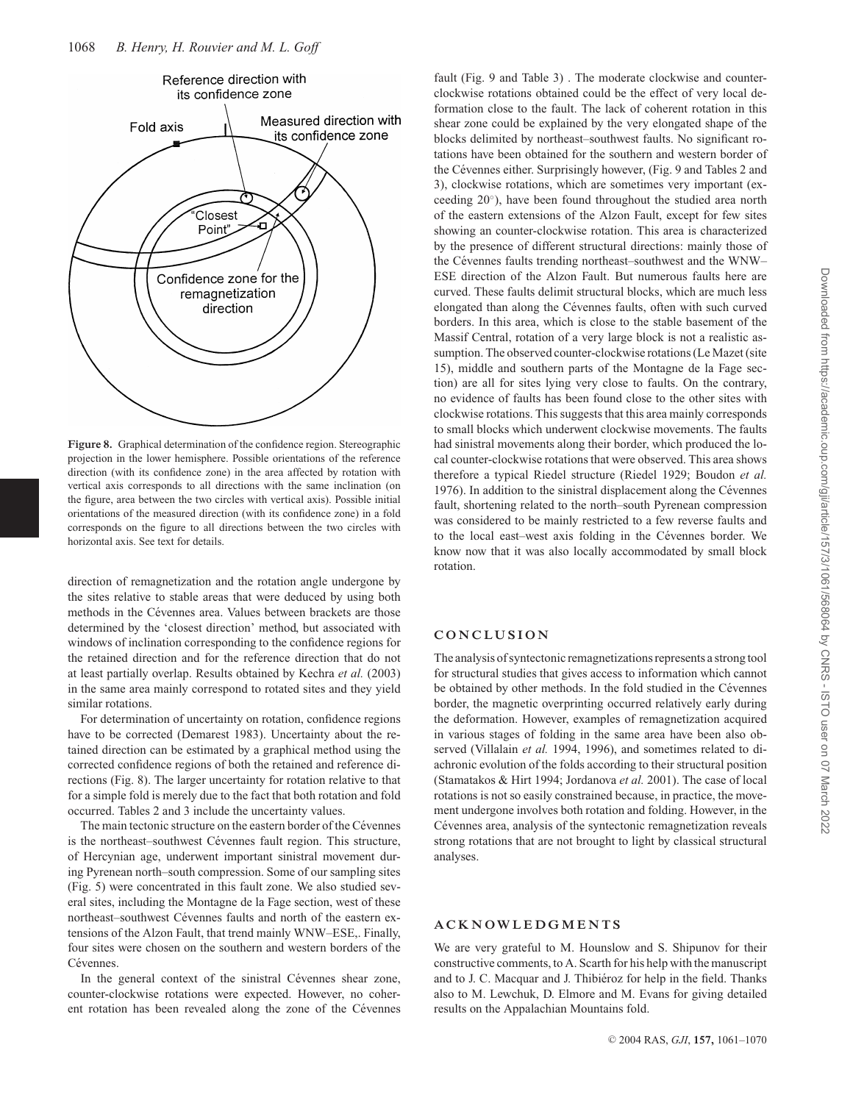

**Figure 8.** Graphical determination of the confidence region. Stereographic projection in the lower hemisphere. Possible orientations of the reference direction (with its confidence zone) in the area affected by rotation with vertical axis corresponds to all directions with the same inclination (on the figure, area between the two circles with vertical axis). Possible initial orientations of the measured direction (with its confidence zone) in a fold corresponds on the figure to all directions between the two circles with horizontal axis. See text for details.

direction of remagnetization and the rotation angle undergone by the sites relative to stable areas that were deduced by using both methods in the Cévennes area. Values between brackets are those determined by the 'closest direction' method, but associated with windows of inclination corresponding to the confidence regions for the retained direction and for the reference direction that do not at least partially overlap. Results obtained by Kechra *et al.* (2003) in the same area mainly correspond to rotated sites and they yield similar rotations.

For determination of uncertainty on rotation, confidence regions have to be corrected (Demarest 1983). Uncertainty about the retained direction can be estimated by a graphical method using the corrected confidence regions of both the retained and reference directions (Fig. 8). The larger uncertainty for rotation relative to that for a simple fold is merely due to the fact that both rotation and fold occurred. Tables 2 and 3 include the uncertainty values.

The main tectonic structure on the eastern border of the Cévennes is the northeast–southwest Cévennes fault region. This structure, of Hercynian age, underwent important sinistral movement during Pyrenean north–south compression. Some of our sampling sites (Fig. 5) were concentrated in this fault zone. We also studied several sites, including the Montagne de la Fage section, west of these northeast-southwest Cévennes faults and north of the eastern extensions of the Alzon Fault, that trend mainly WNW–ESE,. Finally, four sites were chosen on the southern and western borders of the Cévennes.

In the general context of the sinistral Cévennes shear zone, counter-clockwise rotations were expected. However, no coherent rotation has been revealed along the zone of the Cévennes

fault (Fig. 9 and Table 3) . The moderate clockwise and counterclockwise rotations obtained could be the effect of very local deformation close to the fault. The lack of coherent rotation in this shear zone could be explained by the very elongated shape of the blocks delimited by northeast–southwest faults. No significant rotations have been obtained for the southern and western border of the Cévennes either. Surprisingly however, (Fig. 9 and Tables 2 and 3), clockwise rotations, which are sometimes very important (exceeding 20◦), have been found throughout the studied area north of the eastern extensions of the Alzon Fault, except for few sites showing an counter-clockwise rotation. This area is characterized by the presence of different structural directions: mainly those of the Cévennes faults trending northeast-southwest and the WNW– ESE direction of the Alzon Fault. But numerous faults here are curved. These faults delimit structural blocks, which are much less elongated than along the Cévennes faults, often with such curved borders. In this area, which is close to the stable basement of the Massif Central, rotation of a very large block is not a realistic assumption. The observed counter-clockwise rotations (Le Mazet (site 15), middle and southern parts of the Montagne de la Fage section) are all for sites lying very close to faults. On the contrary, no evidence of faults has been found close to the other sites with clockwise rotations. This suggests that this area mainly corresponds to small blocks which underwent clockwise movements. The faults had sinistral movements along their border, which produced the local counter-clockwise rotations that were observed. This area shows therefore a typical Riedel structure (Riedel 1929; Boudon *et al.* 1976). In addition to the sinistral displacement along the Cévennes fault, shortening related to the north–south Pyrenean compression was considered to be mainly restricted to a few reverse faults and to the local east-west axis folding in the Cévennes border. We know now that it was also locally accommodated by small block rotation.

# **CONCLUSION**

The analysis of syntectonic remagnetizations represents a strong tool for structural studies that gives access to information which cannot be obtained by other methods. In the fold studied in the Cévennes border, the magnetic overprinting occurred relatively early during the deformation. However, examples of remagnetization acquired in various stages of folding in the same area have been also observed (Villalain *et al.* 1994, 1996), and sometimes related to diachronic evolution of the folds according to their structural position (Stamatakos & Hirt 1994; Jordanova *et al.* 2001). The case of local rotations is not so easily constrained because, in practice, the movement undergone involves both rotation and folding. However, in the Cévennes area, analysis of the syntectonic remagnetization reveals strong rotations that are not brought to light by classical structural analyses.

# **ACKNOWLEDGMENTS**

We are very grateful to M. Hounslow and S. Shipunov for their constructive comments, to A. Scarth for his help with the manuscript and to J. C. Macquar and J. Thibiéroz for help in the field. Thanks also to M. Lewchuk, D. Elmore and M. Evans for giving detailed results on the Appalachian Mountains fold.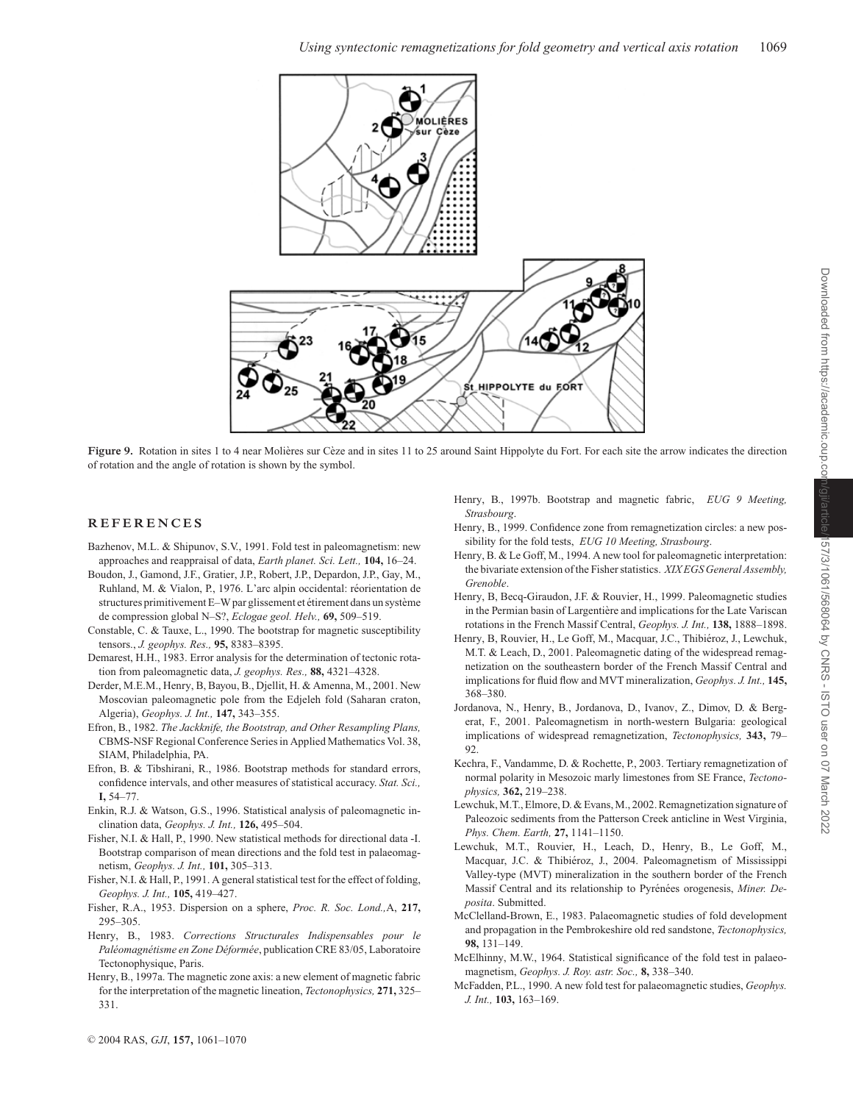

Figure 9. Rotation in sites 1 to 4 near Molières sur Cèze and in sites 11 to 25 around Saint Hippolyte du Fort. For each site the arrow indicates the direction of rotation and the angle of rotation is shown by the symbol.

## **REFERENCES**

- Bazhenov, M.L. & Shipunov, S.V., 1991. Fold test in paleomagnetism: new approaches and reappraisal of data, *Earth planet. Sci. Lett.,* **104,** 16–24.
- Boudon, J., Gamond, J.F., Gratier, J.P., Robert, J.P., Depardon, J.P., Gay, M., Ruhland, M. & Vialon, P., 1976. L'arc alpin occidental: réorientation de structures primitivement E–W par glissement et étirement dans un système de compression global N–S?, *Eclogae geol. Helv.,* **69,** 509–519.
- Constable, C. & Tauxe, L., 1990. The bootstrap for magnetic susceptibility tensors., *J. geophys. Res.,* **95,** 8383–8395.
- Demarest, H.H., 1983. Error analysis for the determination of tectonic rotation from paleomagnetic data, *J. geophys. Res.,* **88,** 4321–4328.
- Derder, M.E.M., Henry, B, Bayou, B., Djellit, H. & Amenna, M., 2001. New Moscovian paleomagnetic pole from the Edjeleh fold (Saharan craton, Algeria), *Geophys. J. Int.,* **147,** 343–355.
- Efron, B., 1982. *The Jackknife, the Bootstrap, and Other Resampling Plans,* CBMS-NSF Regional Conference Series in Applied Mathematics Vol. 38, SIAM, Philadelphia, PA.
- Efron, B. & Tibshirani, R., 1986. Bootstrap methods for standard errors, confidence intervals, and other measures of statistical accuracy. *Stat. Sci.,* **I,** 54–77.
- Enkin, R.J. & Watson, G.S., 1996. Statistical analysis of paleomagnetic inclination data, *Geophys. J. Int.,* **126,** 495–504.
- Fisher, N.I. & Hall, P., 1990. New statistical methods for directional data -I. Bootstrap comparison of mean directions and the fold test in palaeomagnetism, *Geophys. J. Int.,* **101,** 305–313.
- Fisher, N.I. & Hall, P., 1991. A general statistical test for the effect of folding, *Geophys. J. Int.,* **105,** 419–427.
- Fisher, R.A., 1953. Dispersion on a sphere, *Proc. R. Soc. Lond.,*A, **217,** 295–305.
- Henry, B., 1983. *Corrections Structurales Indispensables pour le Paleomagn ´ etisme en Zone D ´ eform ´ ee´* , publication CRE 83/05, Laboratoire Tectonophysique, Paris.
- Henry, B., 1997a. The magnetic zone axis: a new element of magnetic fabric for the interpretation of the magnetic lineation, *Tectonophysics,* **271,** 325– 331.
- Henry, B., 1997b. Bootstrap and magnetic fabric, *EUG 9 Meeting, Strasbourg*.
- Henry, B., 1999. Confidence zone from remagnetization circles: a new possibility for the fold tests, *EUG 10 Meeting, Strasbourg*.
- Henry, B. & Le Goff, M., 1994. A new tool for paleomagnetic interpretation: the bivariate extension of the Fisher statistics. *XIX EGS General Assembly, Grenoble*.
- Henry, B, Becq-Giraudon, J.F. & Rouvier, H., 1999. Paleomagnetic studies in the Permian basin of Largentière and implications for the Late Variscan rotations in the French Massif Central, *Geophys. J. Int.,* **138,** 1888–1898.
- Henry, B, Rouvier, H., Le Goff, M., Macquar, J.C., Thibiéroz, J., Lewchuk, M.T. & Leach, D., 2001. Paleomagnetic dating of the widespread remagnetization on the southeastern border of the French Massif Central and implications for fluid flow and MVT mineralization, *Geophys. J. Int.,* **145,** 368–380.
- Jordanova, N., Henry, B., Jordanova, D., Ivanov, Z., Dimov, D. & Bergerat, F., 2001. Paleomagnetism in north-western Bulgaria: geological implications of widespread remagnetization, *Tectonophysics,* **343,** 79– 92.
- Kechra, F., Vandamme, D. & Rochette, P., 2003. Tertiary remagnetization of normal polarity in Mesozoic marly limestones from SE France, *Tectonophysics,* **362,** 219–238.
- Lewchuk, M.T., Elmore, D. & Evans, M., 2002. Remagnetization signature of Paleozoic sediments from the Patterson Creek anticline in West Virginia, *Phys. Chem. Earth,* **27,** 1141–1150.
- Lewchuk, M.T., Rouvier, H., Leach, D., Henry, B., Le Goff, M., Macquar, J.C. & Thibiéroz, J., 2004. Paleomagnetism of Mississippi Valley-type (MVT) mineralization in the southern border of the French Massif Central and its relationship to Pyrénées orogenesis, Miner. De*posita*. Submitted.
- McClelland-Brown, E., 1983. Palaeomagnetic studies of fold development and propagation in the Pembrokeshire old red sandstone, *Tectonophysics,* **98,** 131–149.
- McElhinny, M.W., 1964. Statistical significance of the fold test in palaeomagnetism, *Geophys. J. Roy. astr. Soc.,* **8,** 338–340.
- McFadden, P.L., 1990. A new fold test for palaeomagnetic studies, *Geophys. J. Int.,* **103,** 163–169.